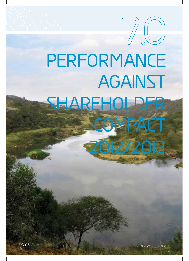## **PERFORMANCE AGAINST SHAREHOLDER COMPACT 7.O**

**2O12/2O13**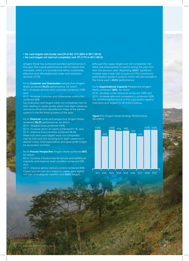**• Per cent targets met/mostly met (39 of 43): 91% (83% in 2011/2012)**

**• Per cent targets not met/not completely met: 9% (17% in 2011/2012)**

Umgeni Water has achieved excellent performance in the year. The overall performance with its mission and mandate, which is to provide innovative, sustainable, effective and affordable bulk water and sanitation services, is 91%.

For its **Customer and Stakeholder** perspective Umgeni Water achieved **90.6%** performance, for which: SO 1- Increase services and customers achieved 100% and

SO 2 - Increase customer and stakeholder satisfaction achieved 83%.

*Two indicators and targets were not completely met for SO2, relating to water quality which had slight variances and once-off service disruptions in three of the eleven*  systems in the first three quarters of the year.

For its **Financial** scorecard perspective Umgeni Water achieved **98.2%** performance, for which:

SO 3 - Mobilise funds achieved 100%,

SO 4 - Increase return on assets achieved 97.1%, and SO 5 - Improve financial ratios achieved 98.3%. *Three indicators and targets were not completely met for SO4 and SO5 resulting from slight variances in*  debtor's days, total expenditure and gross profit margin *for secondary activities.*

For its **Process Perspective** Umgeni Water achieved **85%,** for which:

SO 6 - Increase infrastructure for access and additional capacity and improve asset condition achieved 92%, and

SO 7 - Improve service delivery systems achieved 83%. *Capex and all indicators linked to capex were slightly not met, including job creation and BBBEE targets.* 

*Although the capex target was not completely met there was improvement in spend during the year and*  from the previous year. Regarding BBBEE, significant *inroads were made with inclusion of CPG (contractor*  participation goals) in projects which will yield benefits in *the future year's BBBEE performance.*

For its **Organisational Capacity** Perspective Umgeni Water achieved **100%,** for which:

SO 8 - Develop water resources achieved 100% and SO 9 - Increase skills and competency achieved 100%. *The detailed performance of the organisation against indicators and targets for 2012/2013 follows.*





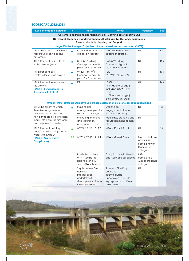## **SCORECARD 2012/2013**

| <b>Key Performance Indicator</b>                                                                                                                                               | #         | <b>Target</b>                                                                                                             | <b>Actual</b>                                                                                                             | <b>Variance</b>                                                         | Pg# |  |  |  |  |  |
|--------------------------------------------------------------------------------------------------------------------------------------------------------------------------------|-----------|---------------------------------------------------------------------------------------------------------------------------|---------------------------------------------------------------------------------------------------------------------------|-------------------------------------------------------------------------|-----|--|--|--|--|--|
|                                                                                                                                                                                |           |                                                                                                                           | Customer and Stakeholder Perspective: 8.15 of 9 indicators met (90.6%)                                                    |                                                                         |     |  |  |  |  |  |
| OUTCOMES: Community and Environmental Sustainability. Customer Satisfaction.<br>Stakeholder Understanding and Support.                                                         |           |                                                                                                                           |                                                                                                                           |                                                                         |     |  |  |  |  |  |
| Umgeni Water Strategic Objective 1: Increase services and customers (100%).                                                                                                    |           |                                                                                                                           |                                                                                                                           |                                                                         |     |  |  |  |  |  |
| KPI 1: The extent to which UW<br>has grown its services and<br>customers.                                                                                                      |           | Draft Business Plan for<br>expansion strategy.                                                                            | Draft Business Plan for<br>expansion strategy.                                                                            | Nil                                                                     | 62  |  |  |  |  |  |
| KPI 2: Per cent bulk potable<br>water volume growth.                                                                                                                           |           | $0.1\%$ (417 mil m <sup>3</sup> ).<br>Conceptual growth<br>plans for 6 customers.                                         | 1.4% (423 mil m <sup>3</sup> )<br>Conceptual growth<br>plans for 6 customers.                                             | Nil                                                                     | 105 |  |  |  |  |  |
| KPI 3: Per cent bulk<br>wastewater volume growth.                                                                                                                              | $\bullet$ | 0% (28.4 mil m <sup>3</sup> )<br>Conceptual growth<br>plans for 5 customers                                               | 12%<br>(2012/13:31.8mi)                                                                                                   | Nil                                                                     | 105 |  |  |  |  |  |
| KPI 4: Per cent revenue from<br>s30 growth.<br>(DWA #14 Engagement in<br><b>Secondary Activities)</b>                                                                          |           | 7%                                                                                                                        | 10.4%<br>(3.4% above budget)<br>Including O&M Dams<br>8.7%<br>(1.7% above budget)<br>Excluding O&M Dams                   | Nil                                                                     | 143 |  |  |  |  |  |
|                                                                                                                                                                                |           |                                                                                                                           | Umgeni Water Strategic Objective 2: Increase customer and stakeholder satisfaction (83%)                                  |                                                                         |     |  |  |  |  |  |
| KPI 5: The extent to which<br>there is engagement of<br>statutory, contracted and<br>non-contracted stakeholders,<br>inputs into policy frameworks<br>and response to queries. |           | Stakeholder<br>engagement plan for<br>expansion strategy.                                                                 | Stakeholder<br>engagement plan for<br>expansion strategy.                                                                 | Nil                                                                     | 43  |  |  |  |  |  |
|                                                                                                                                                                                |           | Marketing, branding<br>and reputation<br>management plan.                                                                 | Marketing, branding and<br>reputation management<br>plan.                                                                 | Nil                                                                     |     |  |  |  |  |  |
| KPI 6: Per cent statutory<br>compliance for bulk potable<br>water with SANS 241.<br>(DWA #1 Water Quality<br><b>Compliance)</b>                                                |           | $WTW \ge 20MI/d$ : 7 of 7                                                                                                 | $WTW \ge 20MI/d$ : 7 of 7                                                                                                 | Nil                                                                     | 56  |  |  |  |  |  |
|                                                                                                                                                                                | 0.9       | $WTW < 20MJ/d$ : 4 of 4                                                                                                   | $WTW < 20MI/d$ : 3 of 4                                                                                                   | Maphephethwa<br>WTW 86.4%<br>compliant with<br>Operational<br>category. |     |  |  |  |  |  |
|                                                                                                                                                                                |           | Boreholes and small<br>WTW: iLembe: 19<br>borehole and 18<br>small WTW schemes                                            | Compliance with Health<br>and Aesthetic categories                                                                        | 86%<br>compliance<br>with operational<br>category.                      |     |  |  |  |  |  |
|                                                                                                                                                                                |           | 9 systems Blue Drop<br>certified.<br>Internal audits<br>undertaken for all<br>sites in preparation for<br>DWA assessment. | 9 systems Blue Drop<br>certified.<br>Internal audits<br>undertaken for all sites<br>in preparation for DWA<br>assessment. | Nil                                                                     |     |  |  |  |  |  |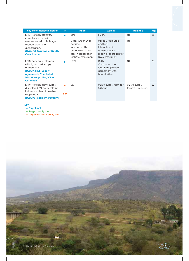| <b>Key Performance Indicator</b>                                                                                                                                                       | #    | <b>Target</b>                                                                                                            | <b>Actual</b>                                                                                                           | <b>Variance</b>                           | Pg# |
|----------------------------------------------------------------------------------------------------------------------------------------------------------------------------------------|------|--------------------------------------------------------------------------------------------------------------------------|-------------------------------------------------------------------------------------------------------------------------|-------------------------------------------|-----|
| KPI 7: Per cent statutory<br>compliance for bulk                                                                                                                                       |      | 85%                                                                                                                      | 86.4%                                                                                                                   | Nil                                       | 59  |
| wastewater with discharge<br>licence or general<br>authorisation.<br>(DWA #20 Wastewater Quality<br><b>Compliance</b> )                                                                |      | 0 sites Green Drop<br>certified.<br>Internal audits<br>undertaken for all<br>sites in preparation<br>for DWA assessment. | 0 sites Green Drop<br>certified.<br>Internal audits<br>undertaken for all<br>sites in preparation for<br>DWA assessment | Nil                                       |     |
| KPI 8: Per cent customers<br>with signed bulk supply<br>agreements.<br>(DWA # 8 Bulk Supply)<br><b>Agreements Concluded</b><br><b>With Municipalities/ Other</b><br><b>Customers</b> ) |      | 100%                                                                                                                     | 100%<br>Concluded the<br>long-term (10-year)<br>agreement with<br>Msunduzi LM.                                          | Nil                                       | 60  |
| KPI 9: Per cent days' supply<br>$disrvpted \, > 24 \, hours$ , relative<br>to total number of possible<br>supply days.<br>(DWA #3 Reliability of supply)                               | 0.25 | 0%                                                                                                                       | $0.25\%$ supply failures $>$<br>24 hours.                                                                               | $0.25\%$ supply<br>failures $> 24$ hours. | 62  |
|                                                                                                                                                                                        |      |                                                                                                                          |                                                                                                                         |                                           |     |

**Key :** 

**• Target met • Target mostly met** 

**• Target not met / partly met**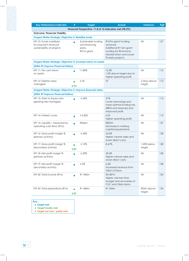| <b>Key Performance Indicator</b>                                                 |      | <b>Target</b>                                                 | <b>Actual</b>                                                                                                                       | <b>Variance</b>         | Pg# |  |  |
|----------------------------------------------------------------------------------|------|---------------------------------------------------------------|-------------------------------------------------------------------------------------------------------------------------------------|-------------------------|-----|--|--|
| Financial Perspective: 11.8 of 12 indicators met (98.2%)                         |      |                                                               |                                                                                                                                     |                         |     |  |  |
| <b>Outcome: Financial Viability.</b>                                             |      |                                                               |                                                                                                                                     |                         |     |  |  |
| Umgeni Water Strategic Objective 3: Mobilise funds.                              |      |                                                               |                                                                                                                                     |                         |     |  |  |
| KPI 10: Funds mobilised<br>for long-term financial<br>sustainability of projects |      | Sustainable funding<br>and financing<br>plans.<br>R51m grant. | R167m grant funding<br>received.<br>Additional R116m grant<br>funding for Richmond,<br>Greater Eston and Lower<br>Thukela projects. | Nil                     | 127 |  |  |
| Umgeni Water Strategic Objective 4: Increase return on assets                    |      |                                                               |                                                                                                                                     |                         |     |  |  |
| (DWA #9 Improve Financial Ratios)                                                |      |                                                               |                                                                                                                                     |                         |     |  |  |
| KPI 11: Per cent return<br>on assets.                                            |      | 11.80%                                                        | 13.3%<br>1.5% above target due to<br>higher operating profit.                                                                       | Nil                     | 113 |  |  |
| KPI 12: Debtors days<br>managed.                                                 | 0.94 | $\leq 35$                                                     | 37                                                                                                                                  | 2 days above<br>target. | 113 |  |  |
| Umgeni Water Strategic Objective 5: Improve financial ratios.                    |      |                                                               |                                                                                                                                     |                         |     |  |  |
| (DWA #9 Improve Financial Ratios)                                                |      |                                                               |                                                                                                                                     |                         |     |  |  |
| KPI 13: Debt to Equity ratio<br>(gearing risk) managed.                          |      | $\leq 42\%$                                                   | $31\%$ .<br>Lower borrowings and<br>more optimal funding mix,<br>(RBIG and reserves) and<br>improved profit.                        | Nil                     | 113 |  |  |
| KPI 14: Interest cover.                                                          |      | $\geq 3.825$                                                  | 4.53<br>Higher operating profit.                                                                                                    | Nil                     | 113 |  |  |
| KPI 15: Liquidity - measured by<br>operating cash flows (R'm).                   |      | R666m                                                         | R852m<br>Decrease in working<br>capital requirements.                                                                               | Nil                     | 127 |  |  |
| KPI 16: Gross profit margin %<br>(primary activity).                             |      | $\geq 45\%$                                                   | 54.3%<br>Higher volume sales and<br>lower direct costs.                                                                             | Nil                     | 128 |  |  |
| KPI 17: Gross profit margin %<br>(Secondary activity).                           | 0.87 | $\geq 10\%$                                                   | $8.67\%$ .                                                                                                                          | 1.33% below<br>target.  | 128 |  |  |
| KPI 18: Net profit margin %<br>(primary activity).                               |      | $\geq 20\%$                                                   | 30.6%<br>Higher volume sales and<br>lower direct costs.                                                                             | Nil                     | 128 |  |  |
| KPI 19: Net profit margin %<br>(secondary activity).                             |      | $\geq 5\%$                                                    | 6.6%<br>Increased revenue from<br>O&M of Dams                                                                                       | Nil                     | 128 |  |  |
| KPI 42: Total income (R'm)                                                       |      | R1 960m                                                       | R2087m<br>Higher volumes than<br>budget and recoveries of<br>CUC and O&M dams.                                                      | Nil                     | 124 |  |  |
| KPI 43: Total expenditure (R'm)                                                  |      | R1 484m                                                       | R1 506m                                                                                                                             | R22m above<br>target.   | 124 |  |  |

- **Key :**
- **Target met**
- **Target mostly met**
- **Target not met / partly met**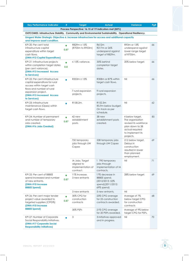Key Performance Indicator # Target Actual Variance Pg#

**Process Perspective: 16.15 of 19 indicators met (85%)**

**OUTCOMES: Infrastructure Stability. Community and Environmental Sustainability. Operational Resiliency.**

**Umgeni Water Strategic Objective 6: Increase infrastructure for access and additional capacity and improve asset condition.**

|  | KPI 20: Per cent total<br>infrastructure capital<br>expenditure within target<br>cash flows.<br>(DWA #12 Capital Expenditure)                                                                 | 0.87             | R829m ± 15%<br>(R705m to R953m)                                 | R612m<br>R217m or 26%<br>underspend against<br>target of R829m.                               | R93m or 13%<br>underspend against<br>lower range target<br>of R705m.                                                                | 66 |
|--|-----------------------------------------------------------------------------------------------------------------------------------------------------------------------------------------------|------------------|-----------------------------------------------------------------|-----------------------------------------------------------------------------------------------|-------------------------------------------------------------------------------------------------------------------------------------|----|
|  | KPI 21: Infrastructure projects<br>within completion target dates<br>(per cent variance).<br>(DWA #13 Increased Access<br>to Services)                                                        | $\bullet$<br>0.8 | $\leq$ 15% variance.                                            | 35% behind<br>completion target<br>dates.                                                     | 20% below target.                                                                                                                   | 66 |
|  | KPI 22: Per cent infrastructure<br>capital expenditure for rural<br>access within target cash<br>flows and number of rural<br>expansion project.<br>(DWA #13 Increased Access<br>to Services) |                  | R353m ± 15%                                                     | R308m or 87% within<br>target cash flows.                                                     | Nil                                                                                                                                 | 66 |
|  |                                                                                                                                                                                               |                  | 7 rural expansion<br>projects.                                  | 9 rural expansion<br>projects.                                                                |                                                                                                                                     |    |
|  | KPI 23: Infrastructure<br>maintenance (Opex) within<br>target cash flows.                                                                                                                     |                  | R158.2m.                                                        | R152.3m<br>R5.9m below budget.<br>On track as per<br>schedule.                                | Nil                                                                                                                                 | 62 |
|  | KPI 24: Number of permanent<br>and number of temporary<br>Jobs created.<br>(DWA #16 Jobs Created)                                                                                             | 0.87             | 42 new<br>establishment<br>posts.                               | 38 new<br>establishment posts<br>created.                                                     | 4 below target.<br>The organisation<br>revised its workforce<br>plan down to 38<br>actual required<br>to implement its<br>projects. | 85 |
|  |                                                                                                                                                                                               |                  | 750 temporary<br>jobs through UW<br>Capex                       | 538 temporary jobs<br>through UW Capex                                                        | 212 below target.<br>Delays in<br>construction<br>resulted in lower<br>than planned<br>employment.                                  | 69 |
|  |                                                                                                                                                                                               |                  | IA Jobs. Target<br>aligned to<br>implementation of<br>contract. | 1 790 temporary<br>jobs through<br>implementation of IA<br>contracts.                         | Nil                                                                                                                                 | 71 |
|  | KPI 25: Per cent of BBBEE<br>spend increased and number<br>of new entrants.<br>(DWA #10 Increase<br><b>BBBEE Spend)</b>                                                                       | 0.87             | 11% increase.<br>3 new entrants                                 | 17% decrease in<br><b>BBBEE</b> spend.<br>(2012/2013: 52%)<br>spend)(2011/2012:<br>69% spend) | 28% below target.                                                                                                                   | 69 |
|  |                                                                                                                                                                                               |                  | 3 new entrants                                                  | 5 new entrants.                                                                               | Nil                                                                                                                                 |    |
|  | KPI 26: Per cent major tender<br>project value awarded to<br>targeted suppliers (CPG%)<br>(DWA #10 Increase                                                                                   | 0.87             | 30% CPG for<br>construction<br>contracts                        | 23% CPG average<br>for 25 construction<br>contracts awarded.                                  | Average of 7%<br>below target CPG<br>for construction<br>contracts                                                                  | 68 |
|  | <b>BBBEE Spend)</b>                                                                                                                                                                           |                  | 30% PSPs                                                        | 21% CPG average<br>for 20 PSPs awarded.                                                       | Average of 9% below<br>target CPG for PSPs.                                                                                         |    |
|  | KPI 27: Number of Corporate<br>Social Responsibility Initiatives.<br>(DWA #17 Corporate Social<br><b>Responsibility Initiatives)</b>                                                          |                  | 3                                                               | 3 initiatives approved<br>and in progress.                                                    | Nil                                                                                                                                 | 70 |

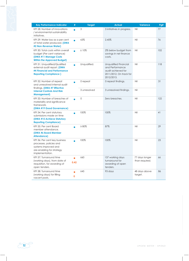| <b>Key Performance Indicator</b>                                                                                                 | #    | <b>Target</b> | <b>Actual</b>                                                                                           | <b>Variance</b>                  | Pg# |
|----------------------------------------------------------------------------------------------------------------------------------|------|---------------|---------------------------------------------------------------------------------------------------------|----------------------------------|-----|
| KPI 28: Number of innovations<br>/ environmental sustainability<br>initiatives.                                                  |      | 3             | 3 initiatives in progress.                                                                              | Nil                              | 77  |
| KPI 29: Water loss as a per cent<br>of total water produced. (DWA<br>#2 Non-Revenue Water)                                       |      | $\leq 5\%$    | 2.45%                                                                                                   | Nil                              | 76  |
| KPI 30: Total costs within overall<br>budget (Per cent variance)<br>(DWA #11 Manage Costs<br><b>Within the Approved Budget)</b>  |      | ± 10%         | 2% below budget from<br>savings in net finance<br>costs.                                                | Nil                              | 102 |
| KPI 31: Unqualified/Qualified<br>external audit report. (DWA<br>#4 Financial and Performance<br><b>Reporting Compliance )</b>    |      | Unqualified.  | Unqualified Financial<br>and Performance<br>audit achieved for<br>2011/2012. On track for<br>2012/2013. | Nil                              | 118 |
| KPI 32: Number of repeat<br>and unresolved internal audit<br>findings. (DWA #7 Effective                                         |      | 0 repeat      | 0 repeat findings.                                                                                      | Nil                              | 31  |
| <b>Internal Controls And Risk</b><br><b>Management</b> )                                                                         |      | 3 unresolved  | 3 unresolved findings.                                                                                  | Nil                              |     |
| KPI 33: Number of breaches of<br>materiality and significance<br>framework.<br>(DWA #19 Good Governance)                         |      | 0             | Zero breaches.                                                                                          | Nil                              | 122 |
| KPI 34: Per cent statutory<br>submissions made on time<br>(DWA #15 Achieve Statutory<br><b>Reporting Compliance)</b>             |      | 100%          | 100%                                                                                                    | Nil                              | 41  |
| KPI 35: Per cent Board<br>member attendance.<br>(DWA #6 Board Member<br><b>Attendance)</b>                                       |      | $\geq 80\%$   | 87%                                                                                                     | Nil                              | 29  |
| KPI 36: Per cent key business<br>processes, policies and<br>systems improved and<br>are enabling for strategy<br>implementation. |      | 100%          | 100%                                                                                                    | Nil                              | 23  |
| KPI 37: Turnaround time<br>(working days), from date of<br>requisition, for awarding of<br>open tenders.                         | 0.42 | $\leq 60$     | 137 working days<br>turnaround for<br>awarding of open<br>tenders.                                      | 77 days longer<br>than required. | 66  |
| KPI 38: Turnaround time<br>(working days) for filling<br>vacant posts.                                                           | 0    | $\leq$ 45     | 93 days                                                                                                 | 48 days above<br>target.         | 86  |